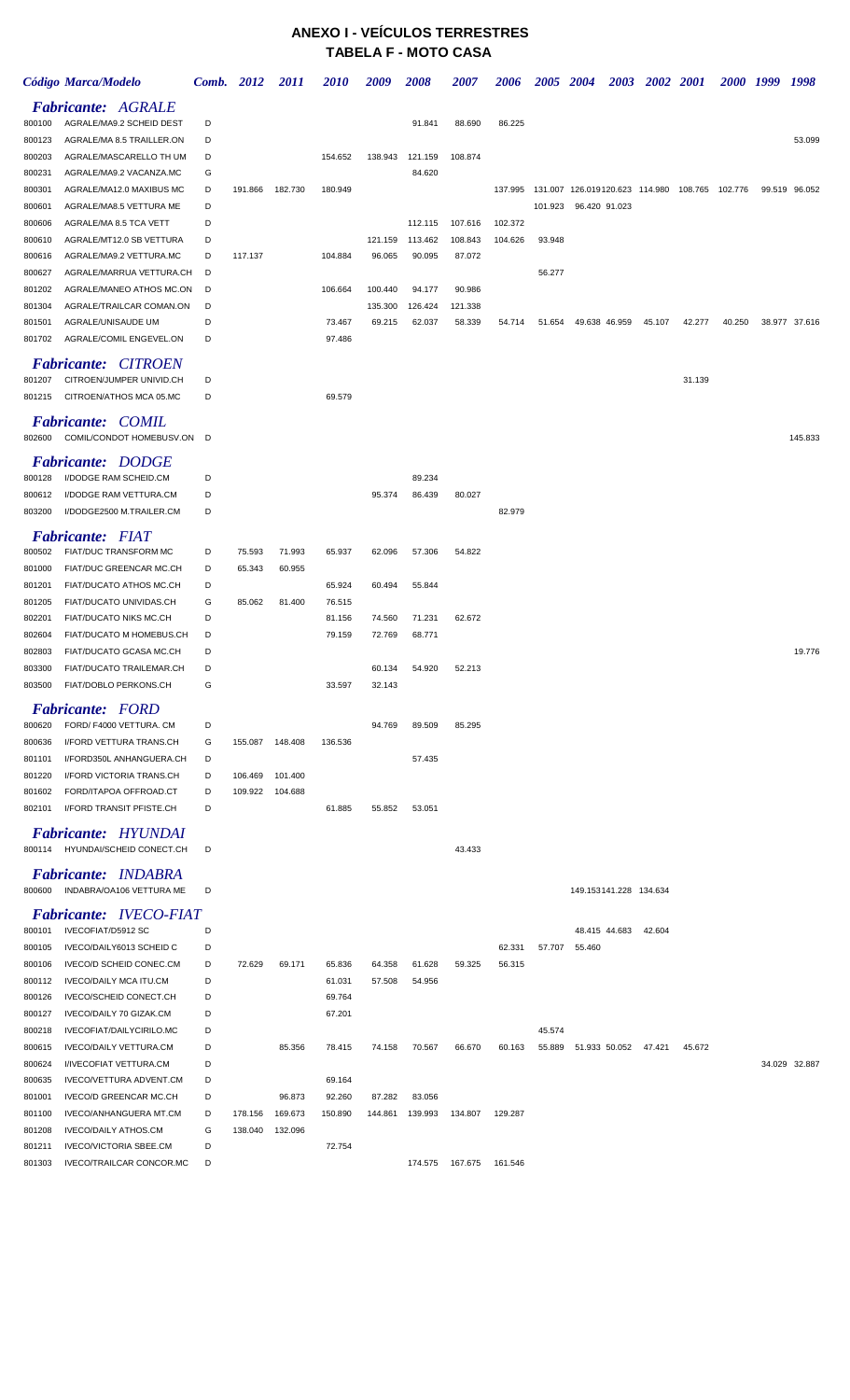## **ANEXO I - VEÍCULOS TERRESTRES TABELA F - MOTO CASA**

|                  | Código Marca/Modelo                                    | Comb.  | 2012    | <i>2011</i> | <i>2010</i> | 2009              | 2008              | 2007              | <i><b>2006</b></i> | <i><b>2005</b></i> | <b>2004</b><br>2003                            | <b>2002</b> | <b>2001</b> | 2000 1999 | 1998          |
|------------------|--------------------------------------------------------|--------|---------|-------------|-------------|-------------------|-------------------|-------------------|--------------------|--------------------|------------------------------------------------|-------------|-------------|-----------|---------------|
|                  | <b>Fabricante: AGRALE</b>                              |        |         |             |             |                   |                   |                   |                    |                    |                                                |             |             |           |               |
| 800100           | AGRALE/MA9.2 SCHEID DEST                               | D      |         |             |             |                   | 91.841            | 88.690            | 86.225             |                    |                                                |             |             |           |               |
| 800123           | AGRALE/MA 8.5 TRAILLER.ON                              | D      |         |             |             |                   |                   |                   |                    |                    |                                                |             |             |           | 53.099        |
| 800203<br>800231 | AGRALE/MASCARELLO TH UM<br>AGRALE/MA9.2 VACANZA.MC     | D<br>G |         |             | 154.652     | 138.943           | 121.159<br>84.620 | 108.874           |                    |                    |                                                |             |             |           |               |
| 800301           | AGRALE/MA12.0 MAXIBUS MC                               | D      | 191.866 | 182.730     | 180.949     |                   |                   |                   | 137.995            |                    | 131.007 126.019120.623 114.980 108.765 102.776 |             |             |           | 99.519 96.052 |
| 800601           | AGRALE/MA8.5 VETTURA ME                                | D      |         |             |             |                   |                   |                   |                    | 101.923            | 96.420 91.023                                  |             |             |           |               |
| 800606           | AGRALE/MA 8.5 TCA VETT                                 | D      |         |             |             |                   | 112.115           | 107.616           | 102.372            |                    |                                                |             |             |           |               |
| 800610           | AGRALE/MT12.0 SB VETTURA                               | D      |         |             |             | 121.159           | 113.462           | 108.843           | 104.626            | 93.948             |                                                |             |             |           |               |
| 800616           | AGRALE/MA9.2 VETTURA.MC                                | D      | 117.137 |             | 104.884     | 96.065            | 90.095            | 87.072            |                    |                    |                                                |             |             |           |               |
| 800627           | AGRALE/MARRUA VETTURA.CH                               | D      |         |             |             |                   |                   |                   |                    | 56.277             |                                                |             |             |           |               |
| 801202           | AGRALE/MANEO ATHOS MC.ON                               | D      |         |             | 106.664     | 100.440           | 94.177            | 90.986            |                    |                    |                                                |             |             |           |               |
| 801304<br>801501 | AGRALE/TRAILCAR COMAN.ON<br>AGRALE/UNISAUDE UM         | D<br>D |         |             | 73.467      | 135.300<br>69.215 | 126.424<br>62.037 | 121.338<br>58.339 | 54.714             | 51.654             | 49.638 46.959                                  | 45.107      | 42.277      | 40.250    | 38.977 37.616 |
| 801702           | AGRALE/COMIL ENGEVEL.ON                                | D      |         |             | 97.486      |                   |                   |                   |                    |                    |                                                |             |             |           |               |
|                  |                                                        |        |         |             |             |                   |                   |                   |                    |                    |                                                |             |             |           |               |
| 801207           | <b>Fabricante: CITROEN</b><br>CITROEN/JUMPER UNIVID.CH | D      |         |             |             |                   |                   |                   |                    |                    |                                                |             | 31.139      |           |               |
| 801215           | CITROEN/ATHOS MCA 05.MC                                | D      |         |             | 69.579      |                   |                   |                   |                    |                    |                                                |             |             |           |               |
|                  |                                                        |        |         |             |             |                   |                   |                   |                    |                    |                                                |             |             |           |               |
| 802600           | <b>Fabricante: COMIL</b><br>COMIL/CONDOT HOMEBUSV.ON   | D      |         |             |             |                   |                   |                   |                    |                    |                                                |             |             |           | 145.833       |
|                  |                                                        |        |         |             |             |                   |                   |                   |                    |                    |                                                |             |             |           |               |
|                  | <b>Fabricante: DODGE</b>                               |        |         |             |             |                   |                   |                   |                    |                    |                                                |             |             |           |               |
| 800128<br>800612 | I/DODGE RAM SCHEID.CM<br>I/DODGE RAM VETTURA.CM        | D<br>D |         |             |             | 95.374            | 89.234<br>86.439  | 80.027            |                    |                    |                                                |             |             |           |               |
| 803200           | I/DODGE2500 M.TRAILER.CM                               | D      |         |             |             |                   |                   |                   | 82.979             |                    |                                                |             |             |           |               |
|                  |                                                        |        |         |             |             |                   |                   |                   |                    |                    |                                                |             |             |           |               |
| 800502           | <b>Fabricante: FIAT</b><br>FIAT/DUC TRANSFORM MC       | D      | 75.593  | 71.993      | 65.937      | 62.096            | 57.306            | 54.822            |                    |                    |                                                |             |             |           |               |
| 801000           | FIAT/DUC GREENCAR MC.CH                                | D      | 65.343  | 60.955      |             |                   |                   |                   |                    |                    |                                                |             |             |           |               |
| 801201           | FIAT/DUCATO ATHOS MC.CH                                | D      |         |             | 65.924      | 60.494            | 55.844            |                   |                    |                    |                                                |             |             |           |               |
| 801205           | FIAT/DUCATO UNIVIDAS.CH                                | G      | 85.062  | 81.400      | 76.515      |                   |                   |                   |                    |                    |                                                |             |             |           |               |
| 802201           | <b>FIAT/DUCATO NIKS MC.CH</b>                          | D      |         |             | 81.156      | 74.560            | 71.231            | 62.672            |                    |                    |                                                |             |             |           |               |
| 802604           | <b>FIAT/DUCATO M HOMEBUS.CH</b>                        | D      |         |             | 79.159      | 72.769            | 68.771            |                   |                    |                    |                                                |             |             |           |               |
| 802803           | FIAT/DUCATO GCASA MC.CH                                | D      |         |             |             |                   |                   |                   |                    |                    |                                                |             |             |           | 19.776        |
| 803300           | FIAT/DUCATO TRAILEMAR.CH                               | D      |         |             |             | 60.134            | 54.920            | 52.213            |                    |                    |                                                |             |             |           |               |
| 803500           | FIAT/DOBLO PERKONS.CH                                  | G      |         |             | 33.597      | 32.143            |                   |                   |                    |                    |                                                |             |             |           |               |
|                  | <b>Fabricante:</b> FORD                                |        |         |             |             |                   |                   |                   |                    |                    |                                                |             |             |           |               |
| 800620           | FORD/ F4000 VETTURA. CM                                | D      |         |             |             | 94.769            | 89.509            | 85.295            |                    |                    |                                                |             |             |           |               |
| 800636<br>801101 | I/FORD VETTURA TRANS.CH<br>I/FORD350L ANHANGUERA.CH    | G<br>D | 155.087 | 148.408     | 136.536     |                   | 57.435            |                   |                    |                    |                                                |             |             |           |               |
| 801220           | I/FORD VICTORIA TRANS.CH                               | D      | 106.469 | 101.400     |             |                   |                   |                   |                    |                    |                                                |             |             |           |               |
| 801602           | FORD/ITAPOA OFFROAD.CT                                 | D      | 109.922 | 104.688     |             |                   |                   |                   |                    |                    |                                                |             |             |           |               |
| 802101           | I/FORD TRANSIT PFISTE.CH                               | D      |         |             | 61.885      | 55.852            | 53.051            |                   |                    |                    |                                                |             |             |           |               |
|                  | Fabricante: HYUNDAI                                    |        |         |             |             |                   |                   |                   |                    |                    |                                                |             |             |           |               |
|                  | 800114 HYUNDAI/SCHEID CONECT.CH                        | D      |         |             |             |                   |                   | 43.433            |                    |                    |                                                |             |             |           |               |
|                  | <b>Fabricante: INDABRA</b>                             |        |         |             |             |                   |                   |                   |                    |                    |                                                |             |             |           |               |
| 800600           | INDABRA/OA106 VETTURA ME                               | D      |         |             |             |                   |                   |                   |                    |                    | 149.153141.228 134.634                         |             |             |           |               |
|                  | <b>Fabricante: IVECO-FIAT</b>                          |        |         |             |             |                   |                   |                   |                    |                    |                                                |             |             |           |               |
| 800101           | IVECOFIAT/D5912 SC                                     | D      |         |             |             |                   |                   |                   |                    |                    | 48.415 44.683                                  | 42.604      |             |           |               |
| 800105           | IVECO/DAILY6013 SCHEID C                               | D      |         |             |             |                   |                   |                   | 62.331             | 57.707             | 55.460                                         |             |             |           |               |
| 800106           | IVECO/D SCHEID CONEC.CM                                | D      | 72.629  | 69.171      | 65.836      | 64.358            | 61.628            | 59.325            | 56.315             |                    |                                                |             |             |           |               |
| 800112           | <b>IVECO/DAILY MCA ITU.CM</b>                          | D      |         |             | 61.031      | 57.508            | 54.956            |                   |                    |                    |                                                |             |             |           |               |
| 800126           | IVECO/SCHEID CONECT.CH                                 | D      |         |             | 69.764      |                   |                   |                   |                    |                    |                                                |             |             |           |               |
| 800127           | IVECO/DAILY 70 GIZAK.CM                                | D      |         |             | 67.201      |                   |                   |                   |                    |                    |                                                |             |             |           |               |
| 800218           | IVECOFIAT/DAILYCIRILO.MC                               | D      |         |             |             |                   |                   |                   |                    | 45.574             |                                                |             |             |           |               |
| 800615<br>800624 | IVECO/DAILY VETTURA.CM<br>I/IVECOFIAT VETTURA.CM       | D<br>D |         | 85.356      | 78.415      | 74.158            | 70.567            | 66.670            | 60.163             | 55.889             | 51.933 50.052 47.421                           |             | 45.672      |           | 34.029 32.887 |
| 800635           | IVECO/VETTURA ADVENT.CM                                | D      |         |             | 69.164      |                   |                   |                   |                    |                    |                                                |             |             |           |               |
| 801001           | IVECO/D GREENCAR MC.CH                                 | D      |         | 96.873      | 92.260      | 87.282            | 83.056            |                   |                    |                    |                                                |             |             |           |               |
| 801100           | IVECO/ANHANGUERA MT.CM                                 | D      | 178.156 | 169.673     | 150.890     | 144.861           | 139.993           | 134.807           | 129.287            |                    |                                                |             |             |           |               |
| 801208           | <b>IVECO/DAILY ATHOS.CM</b>                            | G      | 138.040 | 132.096     |             |                   |                   |                   |                    |                    |                                                |             |             |           |               |
| 801211           | <b>IVECO/VICTORIA SBEE.CM</b>                          | D      |         |             | 72.754      |                   |                   |                   |                    |                    |                                                |             |             |           |               |
| 801303           | IVECO/TRAILCAR CONCOR.MC                               | D      |         |             |             |                   |                   |                   | 161.546            |                    |                                                |             |             |           |               |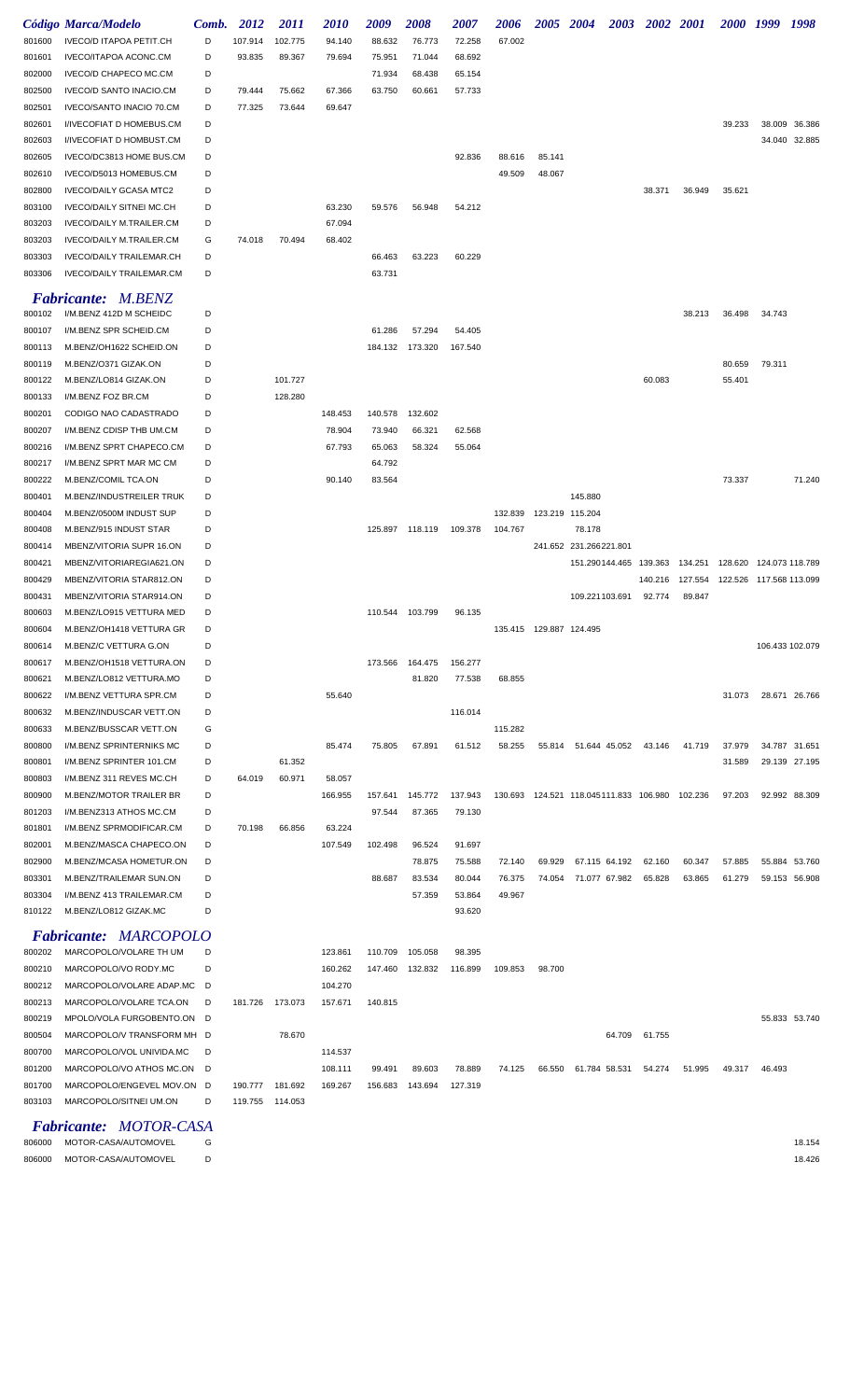|                  | Código Marca/Modelo                                  | Comb.  | 2012            | <i>2011</i> | <i><b>2010</b></i> | 2009    | <b>2008</b>     | <i><b>2007</b></i> | <i><b>2006</b></i>        | <i><b>2005</b></i> | <b>2004</b><br>2003                                |         | 2002 2001                                 | 2000 1999 |                         | 1998          |
|------------------|------------------------------------------------------|--------|-----------------|-------------|--------------------|---------|-----------------|--------------------|---------------------------|--------------------|----------------------------------------------------|---------|-------------------------------------------|-----------|-------------------------|---------------|
| 801600           | <b>IVECO/D ITAPOA PETIT.CH</b>                       | D      | 107.914         | 102.775     | 94.140             | 88.632  | 76.773          | 72.258             | 67.002                    |                    |                                                    |         |                                           |           |                         |               |
| 801601           | IVECO/ITAPOA ACONC.CM                                | D      | 93.835          | 89.367      | 79.694             | 75.951  | 71.044          | 68.692             |                           |                    |                                                    |         |                                           |           |                         |               |
| 802000           | IVECO/D CHAPECO MC.CM                                | D      |                 |             |                    | 71.934  | 68.438          | 65.154             |                           |                    |                                                    |         |                                           |           |                         |               |
| 802500           | <b>IVECO/D SANTO INACIO.CM</b>                       | D      | 79.444          | 75.662      | 67.366             | 63.750  | 60.661          | 57.733             |                           |                    |                                                    |         |                                           |           |                         |               |
| 802501           | IVECO/SANTO INACIO 70.CM                             | D      | 77.325          | 73.644      | 69.647             |         |                 |                    |                           |                    |                                                    |         |                                           |           |                         |               |
| 802601           | I/IVECOFIAT D HOMEBUS.CM                             | D      |                 |             |                    |         |                 |                    |                           |                    |                                                    |         |                                           | 39.233    |                         | 38.009 36.386 |
| 802603           | I/IVECOFIAT D HOMBUST.CM                             | D      |                 |             |                    |         |                 |                    |                           |                    |                                                    |         |                                           |           |                         | 34.040 32.885 |
| 802605           | IVECO/DC3813 HOME BUS.CM                             | D      |                 |             |                    |         |                 | 92.836             | 88.616                    | 85.141             |                                                    |         |                                           |           |                         |               |
| 802610           | IVECO/D5013 HOMEBUS.CM                               | D      |                 |             |                    |         |                 |                    | 49.509                    | 48.067             |                                                    |         |                                           |           |                         |               |
| 802800           | <b>IVECO/DAILY GCASA MTC2</b>                        | D      |                 |             |                    |         |                 |                    |                           |                    |                                                    | 38.371  | 36.949                                    | 35.621    |                         |               |
| 803100           | <b>IVECO/DAILY SITNEI MC.CH</b>                      | D      |                 |             | 63.230             | 59.576  | 56.948          | 54.212             |                           |                    |                                                    |         |                                           |           |                         |               |
| 803203           | IVECO/DAILY M.TRAILER.CM                             | D<br>G |                 | 70.494      | 67.094<br>68.402   |         |                 |                    |                           |                    |                                                    |         |                                           |           |                         |               |
| 803203<br>803303 | IVECO/DAILY M.TRAILER.CM<br>IVECO/DAILY TRAILEMAR.CH | D      | 74.018          |             |                    | 66.463  | 63.223          | 60.229             |                           |                    |                                                    |         |                                           |           |                         |               |
| 803306           | <b>IVECO/DAILY TRAILEMAR.CM</b>                      | D      |                 |             |                    | 63.731  |                 |                    |                           |                    |                                                    |         |                                           |           |                         |               |
|                  |                                                      |        |                 |             |                    |         |                 |                    |                           |                    |                                                    |         |                                           |           |                         |               |
| 800102           | <b>Fabricante: M.BENZ</b><br>I/M.BENZ 412D M SCHEIDC | D      |                 |             |                    |         |                 |                    |                           |                    |                                                    |         | 38.213                                    | 36.498    | 34.743                  |               |
| 800107           | I/M.BENZ SPR SCHEID.CM                               | D      |                 |             |                    | 61.286  | 57.294          | 54.405             |                           |                    |                                                    |         |                                           |           |                         |               |
| 800113           | M.BENZ/OH1622 SCHEID.ON                              | D      |                 |             |                    | 184.132 | 173.320         | 167.540            |                           |                    |                                                    |         |                                           |           |                         |               |
| 800119           | M.BENZ/O371 GIZAK.ON                                 | D      |                 |             |                    |         |                 |                    |                           |                    |                                                    |         |                                           | 80.659    | 79.311                  |               |
| 800122           | M.BENZ/LO814 GIZAK.ON                                | D      |                 | 101.727     |                    |         |                 |                    |                           |                    |                                                    | 60.083  |                                           | 55.401    |                         |               |
| 800133           | I/M.BENZ FOZ BR.CM                                   | D      |                 | 128.280     |                    |         |                 |                    |                           |                    |                                                    |         |                                           |           |                         |               |
| 800201           | CODIGO NAO CADASTRADO                                | D      |                 |             | 148.453            | 140.578 | 132.602         |                    |                           |                    |                                                    |         |                                           |           |                         |               |
| 800207           | I/M.BENZ CDISP THB UM.CM                             | D      |                 |             | 78.904             | 73.940  | 66.321          | 62.568             |                           |                    |                                                    |         |                                           |           |                         |               |
| 800216           | I/M.BENZ SPRT CHAPECO.CM                             | D      |                 |             | 67.793             | 65.063  | 58.324          | 55.064             |                           |                    |                                                    |         |                                           |           |                         |               |
| 800217           | I/M.BENZ SPRT MAR MC CM                              | D      |                 |             |                    | 64.792  |                 |                    |                           |                    |                                                    |         |                                           |           |                         |               |
| 800222           | M.BENZ/COMIL TCA.ON                                  | D      |                 |             | 90.140             | 83.564  |                 |                    |                           |                    |                                                    |         |                                           | 73.337    |                         | 71.240        |
| 800401           | M.BENZ/INDUSTREILER TRUK                             | D      |                 |             |                    |         |                 |                    |                           |                    | 145.880                                            |         |                                           |           |                         |               |
| 800404           | M.BENZ/0500M INDUST SUP                              | D      |                 |             |                    |         |                 |                    | 132.839                   |                    | 123.219 115.204                                    |         |                                           |           |                         |               |
| 800408           | M.BENZ/915 INDUST STAR                               | D      |                 |             |                    |         | 125.897 118.119 | 109.378            | 104.767                   |                    | 78.178                                             |         |                                           |           |                         |               |
| 800414           | MBENZ/VITORIA SUPR 16.ON                             | D      |                 |             |                    |         |                 |                    |                           |                    | 241.652 231.266221.801                             |         |                                           |           |                         |               |
| 800421           | MBENZ/VITORIAREGIA621.ON                             | D      |                 |             |                    |         |                 |                    |                           |                    | 151.290144.465 139.363 134.251                     |         |                                           |           | 128.620 124.073 118.789 |               |
| 800429<br>800431 | MBENZ/VITORIA STAR812.ON<br>MBENZ/VITORIA STAR914.ON | D<br>D |                 |             |                    |         |                 |                    |                           |                    | 109.221103.691                                     | 140.216 | 127.554 122.526 117.568 113.099<br>89.847 |           |                         |               |
| 800603           | M.BENZ/LO915 VETTURA MED                             | D      |                 |             |                    |         | 110.544 103.799 | 96.135             |                           |                    |                                                    | 92.774  |                                           |           |                         |               |
| 800604           | M.BENZ/OH1418 VETTURA GR                             | D      |                 |             |                    |         |                 |                    | 135.415  129.887  124.495 |                    |                                                    |         |                                           |           |                         |               |
| 800614           | M.BENZ/C VETTURA G.ON                                | D      |                 |             |                    |         |                 |                    |                           |                    |                                                    |         |                                           |           | 106.433 102.079         |               |
| 800617           | M.BENZ/OH1518 VETTURA.ON                             | D      |                 |             |                    | 173.566 | 164.475         | 156.277            |                           |                    |                                                    |         |                                           |           |                         |               |
| 800621           | M.BENZ/LO812 VETTURA.MO                              | D      |                 |             |                    |         | 81.820          | 77.538             | 68.855                    |                    |                                                    |         |                                           |           |                         |               |
| 800622           | I/M.BENZ VETTURA SPR.CM                              | D      |                 |             | 55.640             |         |                 |                    |                           |                    |                                                    |         |                                           | 31.073    |                         | 28.671 26.766 |
| 800632           | M.BENZ/INDUSCAR VETT.ON                              | D      |                 |             |                    |         |                 | 116.014            |                           |                    |                                                    |         |                                           |           |                         |               |
| 800633           | M.BENZ/BUSSCAR VETT.ON                               | G      |                 |             |                    |         |                 |                    | 115.282                   |                    |                                                    |         |                                           |           |                         |               |
| 800800           | I/M.BENZ SPRINTERNIKS MC                             | D      |                 |             | 85.474             | 75.805  | 67.891          | 61.512             | 58.255                    |                    | 55.814 51.644 45.052 43.146                        |         | 41.719                                    | 37.979    |                         | 34.787 31.651 |
| 800801           | I/M.BENZ SPRINTER 101.CM                             | D      |                 | 61.352      |                    |         |                 |                    |                           |                    |                                                    |         |                                           | 31.589    |                         | 29.139 27.195 |
| 800803           | I/M.BENZ 311 REVES MC.CH                             | D      | 64.019          | 60.971      | 58.057             |         |                 |                    |                           |                    |                                                    |         |                                           |           |                         |               |
| 800900           | M.BENZ/MOTOR TRAILER BR                              | D      |                 |             | 166.955            | 157.641 | 145.772         | 137.943            |                           |                    | 130.693  124.521  118.045111.833  106.980  102.236 |         |                                           | 97.203    |                         | 92.992 88.309 |
| 801203           | I/M.BENZ313 ATHOS MC.CM                              | D      |                 |             |                    | 97.544  | 87.365          | 79.130             |                           |                    |                                                    |         |                                           |           |                         |               |
| 801801<br>802001 | I/M.BENZ SPRMODIFICAR.CM<br>M.BENZ/MASCA CHAPECO.ON  | D<br>D | 70.198          | 66.856      | 63.224<br>107.549  | 102.498 | 96.524          | 91.697             |                           |                    |                                                    |         |                                           |           |                         |               |
| 802900           | M.BENZ/MCASA HOMETUR.ON                              | D      |                 |             |                    |         | 78.875          | 75.588             | 72.140                    | 69.929             | 67.115 64.192                                      | 62.160  | 60.347                                    | 57.885    |                         | 55.884 53.760 |
| 803301           | M.BENZ/TRAILEMAR SUN.ON                              | D      |                 |             |                    | 88.687  | 83.534          | 80.044             | 76.375                    | 74.054             | 71.077 67.982                                      | 65.828  | 63.865                                    | 61.279    |                         | 59.153 56.908 |
| 803304           | I/M.BENZ 413 TRAILEMAR.CM                            | D      |                 |             |                    |         | 57.359          | 53.864             | 49.967                    |                    |                                                    |         |                                           |           |                         |               |
| 810122           | M.BENZ/LO812 GIZAK.MC                                | D      |                 |             |                    |         |                 | 93.620             |                           |                    |                                                    |         |                                           |           |                         |               |
|                  | <b>Fabricante: MARCOPOLO</b>                         |        |                 |             |                    |         |                 |                    |                           |                    |                                                    |         |                                           |           |                         |               |
| 800202           | MARCOPOLO/VOLARE TH UM                               | D      |                 |             | 123.861            | 110.709 | 105.058         | 98.395             |                           |                    |                                                    |         |                                           |           |                         |               |
| 800210           | MARCOPOLO/VO RODY.MC                                 | D      |                 |             | 160.262            |         | 147.460 132.832 | 116.899            | 109.853                   | 98.700             |                                                    |         |                                           |           |                         |               |
| 800212           | MARCOPOLO/VOLARE ADAP.MC                             | - D    |                 |             | 104.270            |         |                 |                    |                           |                    |                                                    |         |                                           |           |                         |               |
| 800213           | MARCOPOLO/VOLARE TCA.ON                              | D      | 181.726         | 173.073     | 157.671            | 140.815 |                 |                    |                           |                    |                                                    |         |                                           |           |                         |               |
| 800219           | MPOLO/VOLA FURGOBENTO.ON D                           |        |                 |             |                    |         |                 |                    |                           |                    |                                                    |         |                                           |           |                         | 55.833 53.740 |
| 800504           | MARCOPOLO/V TRANSFORM MH D                           |        |                 | 78.670      |                    |         |                 |                    |                           |                    | 64.709                                             | 61.755  |                                           |           |                         |               |
| 800700           | MARCOPOLO/VOL UNIVIDA.MC                             | D      |                 |             | 114.537            |         |                 |                    |                           |                    |                                                    |         |                                           |           |                         |               |
| 801200           | MARCOPOLO/VO ATHOS MC.ON                             | D      |                 |             | 108.111            | 99.491  | 89.603          | 78.889             | 74.125                    | 66.550             | 61.784 58.531                                      | 54.274  | 51.995                                    | 49.317    | 46.493                  |               |
| 801700           | MARCOPOLO/ENGEVEL MOV.ON D                           |        | 190.777         | 181.692     | 169.267            | 156.683 | 143.694         | 127.319            |                           |                    |                                                    |         |                                           |           |                         |               |
| 803103           | MARCOPOLO/SITNEI UM.ON                               | D      | 119.755 114.053 |             |                    |         |                 |                    |                           |                    |                                                    |         |                                           |           |                         |               |

## *Fabricante: MOTOR-CASA*

 MOTOR-CASA/AUTOMOVEL G 18.154 MOTOR-CASA/AUTOMOVEL D 18.426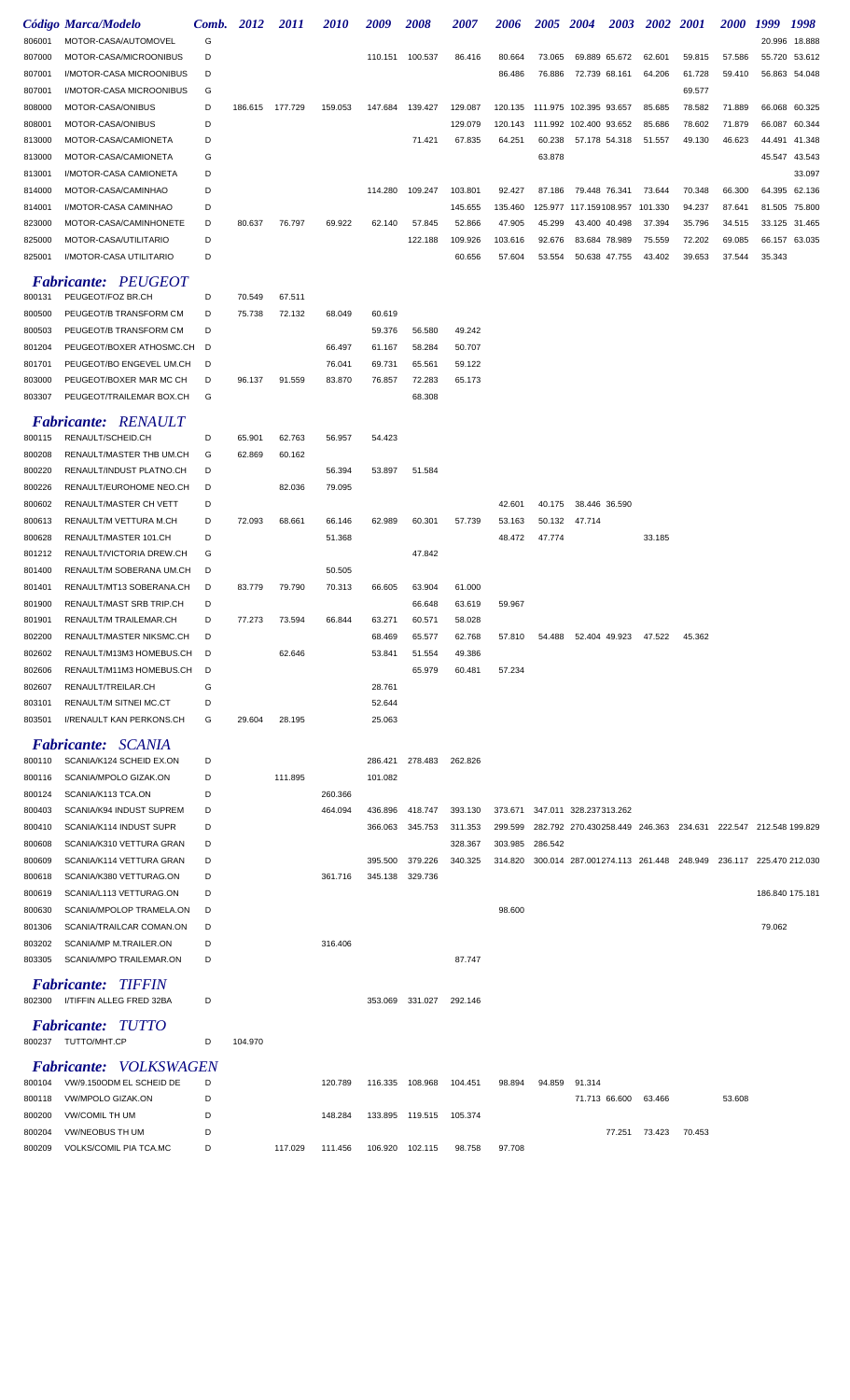|        | Código Marca/Modelo             | Comb. | 2012    | <i>2011</i> | <i>2010</i> | 2009    | <i><b>2008</b></i> | <i><b>2007</b></i> | 2006    | 2005    | <b>2004</b>            | <b>2003</b> | 2002    | <b>2001</b>                                                    | <i><b>2000</b></i> | 1999            | 1998          |
|--------|---------------------------------|-------|---------|-------------|-------------|---------|--------------------|--------------------|---------|---------|------------------------|-------------|---------|----------------------------------------------------------------|--------------------|-----------------|---------------|
| 806001 | MOTOR-CASA/AUTOMOVEL            | G     |         |             |             |         |                    |                    |         |         |                        |             |         |                                                                |                    | 20.996          | 18.888        |
| 807000 | MOTOR-CASA/MICROONIBUS          | D     |         |             |             | 110.151 | 100.537            | 86.416             | 80.664  | 73.065  | 69.889 65.672          |             | 62.601  | 59.815                                                         | 57.586             | 55.720          | 53.612        |
| 807001 | I/MOTOR-CASA MICROONIBUS        | D     |         |             |             |         |                    |                    | 86.486  | 76.886  | 72.739 68.161          |             | 64.206  | 61.728                                                         | 59.410             | 56.863          | 54.048        |
| 807001 | I/MOTOR-CASA MICROONIBUS        | G     |         |             |             |         |                    |                    |         |         |                        |             |         | 69.577                                                         |                    |                 |               |
| 808000 | MOTOR-CASA/ONIBUS               | D     | 186.615 | 177.729     | 159.053     | 147.684 | 139.427            | 129.087            | 120.135 |         | 111.975 102.395 93.657 |             | 85.685  | 78.582                                                         | 71.889             |                 | 66.068 60.325 |
| 808001 | MOTOR-CASA/ONIBUS               | D     |         |             |             |         |                    | 129.079            | 120.143 |         | 111.992 102.400 93.652 |             | 85.686  | 78.602                                                         | 71.879             | 66.087          | 60.344        |
| 813000 | MOTOR-CASA/CAMIONETA            | D     |         |             |             |         | 71.421             | 67.835             | 64.251  | 60.238  | 57.178 54.318          |             | 51.557  | 49.130                                                         | 46.623             | 44.491          | 41.348        |
| 813000 | MOTOR-CASA/CAMIONETA            | G     |         |             |             |         |                    |                    |         | 63.878  |                        |             |         |                                                                |                    | 45.547          | 43.543        |
| 813001 | I/MOTOR-CASA CAMIONETA          | D     |         |             |             |         |                    |                    |         |         |                        |             |         |                                                                |                    |                 | 33.097        |
| 814000 | MOTOR-CASA/CAMINHAO             | D     |         |             |             | 114.280 | 109.247            | 103.801            | 92.427  | 87.186  | 79.448 76.341          |             | 73.644  | 70.348                                                         | 66.300             |                 | 64.395 62.136 |
| 814001 | I/MOTOR-CASA CAMINHAO           | D     |         |             |             |         |                    | 145.655            | 135.460 |         | 125.977 117.159108.957 |             | 101.330 | 94.237                                                         | 87.641             | 81.505          | 75.800        |
| 823000 | MOTOR-CASA/CAMINHONETE          | D     | 80.637  | 76.797      | 69.922      | 62.140  | 57.845             | 52.866             | 47.905  | 45.299  | 43.400 40.498          |             | 37.394  | 35.796                                                         | 34.515             | 33.125          | 31.465        |
| 825000 | MOTOR-CASA/UTILITARIO           | D     |         |             |             |         | 122.188            | 109.926            | 103.616 | 92.676  | 83.684 78.989          |             | 75.559  | 72.202                                                         | 69.085             |                 | 66.157 63.035 |
| 825001 | I/MOTOR-CASA UTILITARIO         | D     |         |             |             |         |                    | 60.656             | 57.604  | 53.554  | 50.638 47.755          |             | 43.402  | 39.653                                                         | 37.544             | 35.343          |               |
|        | <b>Fabricante: PEUGEOT</b>      |       |         |             |             |         |                    |                    |         |         |                        |             |         |                                                                |                    |                 |               |
| 800131 | PEUGEOT/FOZ BR.CH               | D     | 70.549  | 67.511      |             |         |                    |                    |         |         |                        |             |         |                                                                |                    |                 |               |
| 800500 | PEUGEOT/B TRANSFORM CM          | D     | 75.738  | 72.132      | 68.049      | 60.619  |                    |                    |         |         |                        |             |         |                                                                |                    |                 |               |
| 800503 | PEUGEOT/B TRANSFORM CM          | D     |         |             |             | 59.376  | 56.580             | 49.242             |         |         |                        |             |         |                                                                |                    |                 |               |
| 801204 | PEUGEOT/BOXER ATHOSMC.CH        | D     |         |             | 66.497      | 61.167  | 58.284             | 50.707             |         |         |                        |             |         |                                                                |                    |                 |               |
| 801701 | PEUGEOT/BO ENGEVEL UM.CH        | D     |         |             | 76.041      | 69.731  | 65.561             | 59.122             |         |         |                        |             |         |                                                                |                    |                 |               |
| 803000 | PEUGEOT/BOXER MAR MC CH         | D     | 96.137  | 91.559      | 83.870      | 76.857  | 72.283             | 65.173             |         |         |                        |             |         |                                                                |                    |                 |               |
| 803307 | PEUGEOT/TRAILEMAR BOX.CH        | G     |         |             |             |         | 68.308             |                    |         |         |                        |             |         |                                                                |                    |                 |               |
|        |                                 |       |         |             |             |         |                    |                    |         |         |                        |             |         |                                                                |                    |                 |               |
|        | <b>Fabricante: RENAULT</b>      |       |         |             |             |         |                    |                    |         |         |                        |             |         |                                                                |                    |                 |               |
| 800115 | RENAULT/SCHEID.CH               | D     | 65.901  | 62.763      | 56.957      | 54.423  |                    |                    |         |         |                        |             |         |                                                                |                    |                 |               |
| 800208 | RENAULT/MASTER THB UM.CH        | G     | 62.869  | 60.162      |             |         |                    |                    |         |         |                        |             |         |                                                                |                    |                 |               |
| 800220 | RENAULT/INDUST PLATNO.CH        | D     |         |             | 56.394      | 53.897  | 51.584             |                    |         |         |                        |             |         |                                                                |                    |                 |               |
| 800226 | RENAULT/EUROHOME NEO.CH         | D     |         | 82.036      | 79.095      |         |                    |                    |         |         |                        |             |         |                                                                |                    |                 |               |
| 800602 | RENAULT/MASTER CH VETT          | D     |         |             |             |         |                    |                    | 42.601  | 40.175  | 38.446 36.590          |             |         |                                                                |                    |                 |               |
| 800613 | RENAULT/M VETTURA M.CH          | D     | 72.093  | 68.661      | 66.146      | 62.989  | 60.301             | 57.739             | 53.163  | 50.132  | 47.714                 |             |         |                                                                |                    |                 |               |
| 800628 | RENAULT/MASTER 101.CH           | D     |         |             | 51.368      |         |                    |                    | 48.472  | 47.774  |                        |             | 33.185  |                                                                |                    |                 |               |
| 801212 | RENAULT/VICTORIA DREW.CH        | G     |         |             |             |         | 47.842             |                    |         |         |                        |             |         |                                                                |                    |                 |               |
| 801400 | RENAULT/M SOBERANA UM.CH        | D     |         |             | 50.505      |         |                    |                    |         |         |                        |             |         |                                                                |                    |                 |               |
| 801401 | RENAULT/MT13 SOBERANA.CH        | D     | 83.779  | 79.790      | 70.313      | 66.605  | 63.904             | 61.000             |         |         |                        |             |         |                                                                |                    |                 |               |
| 801900 | RENAULT/MAST SRB TRIP.CH        | D     |         |             |             |         | 66.648             | 63.619             | 59.967  |         |                        |             |         |                                                                |                    |                 |               |
| 801901 | RENAULT/M TRAILEMAR.CH          | D     | 77.273  | 73.594      | 66.844      | 63.271  | 60.571             | 58.028             |         |         |                        |             |         |                                                                |                    |                 |               |
| 802200 | RENAULT/MASTER NIKSMC.CH        | D     |         |             |             | 68.469  | 65.577             | 62.768             | 57.810  | 54.488  | 52.404 49.923          |             | 47.522  | 45.362                                                         |                    |                 |               |
| 802602 | RENAULT/M13M3 HOMEBUS.CH        | D     |         | 62.646      |             | 53.841  | 51.554             | 49.386             |         |         |                        |             |         |                                                                |                    |                 |               |
| 802606 | RENAULT/M11M3 HOMEBUS.CH        | D     |         |             |             |         | 65.979             | 60.481             | 57.234  |         |                        |             |         |                                                                |                    |                 |               |
| 802607 | RENAULT/TREILAR.CH              | G     |         |             |             | 28.761  |                    |                    |         |         |                        |             |         |                                                                |                    |                 |               |
| 803101 | RENAULT/M SITNEI MC.CT          | D     |         |             |             | 52.644  |                    |                    |         |         |                        |             |         |                                                                |                    |                 |               |
| 803501 | I/RENAULT KAN PERKONS.CH        | G     | 29.604  | 28.195      |             | 25.063  |                    |                    |         |         |                        |             |         |                                                                |                    |                 |               |
|        |                                 |       |         |             |             |         |                    |                    |         |         |                        |             |         |                                                                |                    |                 |               |
|        | <b>Fabricante: SCANIA</b>       |       |         |             |             |         |                    |                    |         |         |                        |             |         |                                                                |                    |                 |               |
| 800110 | SCANIA/K124 SCHEID EX.ON        | D     |         |             |             | 286.421 | 278.483            | 262.826            |         |         |                        |             |         |                                                                |                    |                 |               |
| 800116 | SCANIA/MPOLO GIZAK.ON           | D     |         | 111.895     |             | 101.082 |                    |                    |         |         |                        |             |         |                                                                |                    |                 |               |
| 800124 | SCANIA/K113 TCA.ON              | D     |         |             | 260.366     |         |                    |                    |         |         |                        |             |         |                                                                |                    |                 |               |
| 800403 | SCANIA/K94 INDUST SUPREM        | D     |         |             | 464.094     | 436.896 | 418.747            | 393.130            | 373.671 |         | 347.011 328.237313.262 |             |         |                                                                |                    |                 |               |
| 800410 | SCANIA/K114 INDUST SUPR         | D     |         |             |             | 366.063 | 345.753            | 311.353            | 299.599 |         |                        |             |         | 282.792 270.430258.449 246.363 234.631 222.547 212.548 199.829 |                    |                 |               |
| 800608 | SCANIA/K310 VETTURA GRAN        | D     |         |             |             |         |                    | 328.367            | 303.985 | 286.542 |                        |             |         |                                                                |                    |                 |               |
| 800609 | SCANIA/K114 VETTURA GRAN        | D     |         |             |             | 395.500 | 379.226            | 340.325            | 314.820 |         |                        |             |         | 300.014 287.001274.113 261.448 248.949 236.117 225.470 212.030 |                    |                 |               |
| 800618 | SCANIA/K380 VETTURAG.ON         | D     |         |             | 361.716     | 345.138 | 329.736            |                    |         |         |                        |             |         |                                                                |                    |                 |               |
| 800619 | SCANIA/L113 VETTURAG.ON         | D     |         |             |             |         |                    |                    |         |         |                        |             |         |                                                                |                    | 186.840 175.181 |               |
| 800630 | SCANIA/MPOLOP TRAMELA.ON        | D     |         |             |             |         |                    |                    | 98.600  |         |                        |             |         |                                                                |                    |                 |               |
| 801306 | SCANIA/TRAILCAR COMAN.ON        | D     |         |             |             |         |                    |                    |         |         |                        |             |         |                                                                |                    | 79.062          |               |
| 803202 | SCANIA/MP M.TRAILER.ON          | D     |         |             | 316.406     |         |                    |                    |         |         |                        |             |         |                                                                |                    |                 |               |
| 803305 | SCANIA/MPO TRAILEMAR.ON         | D     |         |             |             |         |                    | 87.747             |         |         |                        |             |         |                                                                |                    |                 |               |
|        | <b>Fabricante: TIFFIN</b>       |       |         |             |             |         |                    |                    |         |         |                        |             |         |                                                                |                    |                 |               |
|        | 802300 I/TIFFIN ALLEG FRED 32BA | D     |         |             |             | 353.069 | 331.027            | 292.146            |         |         |                        |             |         |                                                                |                    |                 |               |
|        |                                 |       |         |             |             |         |                    |                    |         |         |                        |             |         |                                                                |                    |                 |               |
|        | <b>Fabricante: TUTTO</b>        |       |         |             |             |         |                    |                    |         |         |                        |             |         |                                                                |                    |                 |               |
|        | 800237 TUTTO/MHT.CP             | D     | 104.970 |             |             |         |                    |                    |         |         |                        |             |         |                                                                |                    |                 |               |
|        | <b>Fabricante:</b> VOLKSWAGEN   |       |         |             |             |         |                    |                    |         |         |                        |             |         |                                                                |                    |                 |               |
| 800104 | VW/9.150ODM EL SCHEID DE        | D     |         |             | 120.789     |         | 116.335 108.968    | 104.451            | 98.894  | 94.859  | 91.314                 |             |         |                                                                |                    |                 |               |
| 800118 | VW/MPOLO GIZAK.ON               | D     |         |             |             |         |                    |                    |         |         | 71.713 66.600          |             | 63.466  |                                                                | 53.608             |                 |               |
| 800200 | <b>VW/COMIL TH UM</b>           | D     |         |             | 148.284     |         | 133.895 119.515    | 105.374            |         |         |                        |             |         |                                                                |                    |                 |               |
| 800204 | VW/NEOBUS TH UM                 | D     |         |             |             |         |                    |                    |         |         |                        | 77.251      | 73.423  | 70.453                                                         |                    |                 |               |
| 800209 | VOLKS/COMIL PIA TCA.MC          | D     |         | 117.029     | 111.456     |         | 106.920 102.115    | 98.758             | 97.708  |         |                        |             |         |                                                                |                    |                 |               |